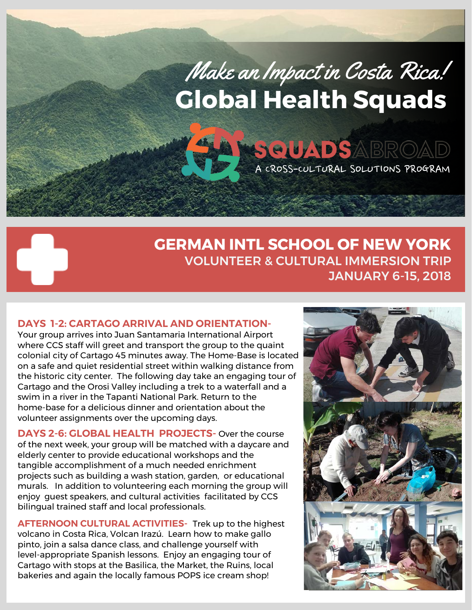# Make an Impact in Costa Rica! **Global Health Squads**

**SQUADSABROAD** 

A CROSS-CULTURAL SOLUTIONS PROGRAM

# **GERMAN INTL SCHOOL OF NEW YORK**  VOLUNTEER & CULTURAL IMMERSION TRIP JANUARY 6-15, 2018

# **DAYS 1-2: CARTAGO ARRIVAL AND ORIENTATION-**

 $\mathbf{L}^{\mathbf{r}}$ 

Your group arrives into Juan Santamaria International Airport where CCS staff will greet and transport the group to the quaint colonial city of Cartago 45 minutes away. The Home-Base is located on a safe and quiet residential street within walking distance from the historic city center. The following day take an engaging tour of Cartago and the Orosi Valley including a trek to a waterfall and a swim in a river in the Tapanti National Park. Return to the home-base for a delicious dinner and orientation about the volunteer assignments over the upcoming days.

**DAYS 2-6: GLOBAL HEALTH PROJECTS-** Over the course of the next week, your group will be matched with a daycare and elderly center to provide educational workshops and the tangible accomplishment of a much needed enrichment projects such as building a wash station, garden, or educational murals. In addition to volunteering each morning the group will enjoy guest speakers, and cultural activities facilitated by CCS bilingual trained staff and local professionals.

**AFTERNOON CULTURAL ACTIVITIES-** Trek up to the highest volcano in Costa Rica, Volcan Irazú. Learn how to make gallo pinto, join a salsa dance class, and challenge yourself with level-appropriate Spanish lessons. Enjoy an engaging tour of Cartago with stops at the Basilica, the Market, the Ruins, local bakeries and again the locally famous POPS ice cream shop!